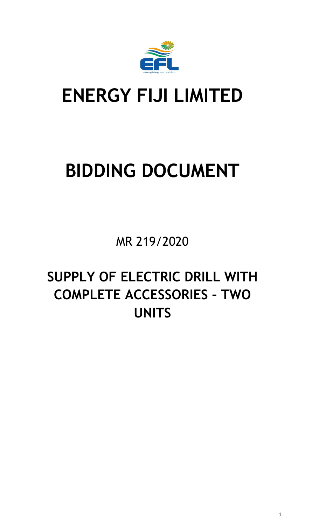<span id="page-0-0"></span>

# **ENERGY FIJI LIMITED**

# **BIDDING DOCUMENT**

MR 219/2020

# **SUPPLY OF ELECTRIC DRILL WITH COMPLETE ACCESSORIES – TWO UNITS**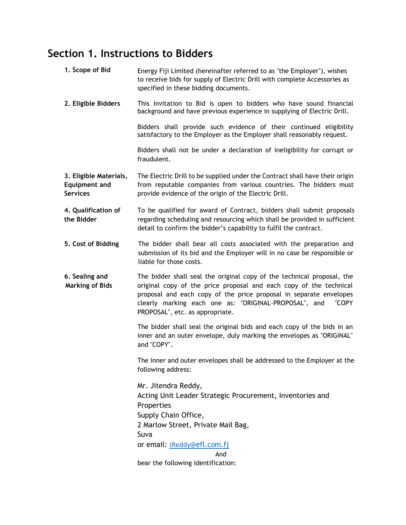## **Section 1. Instructions to Bidders**

| 1. Scope of Bid                                                   | Energy Fiji Limited (hereinafter referred to as "the Employer"), wishes<br>to receive bids for supply of Electric Drill with complete Accessories as<br>specified in these bidding documents.                                                                                                                           |
|-------------------------------------------------------------------|-------------------------------------------------------------------------------------------------------------------------------------------------------------------------------------------------------------------------------------------------------------------------------------------------------------------------|
| 2. Eligible Bidders                                               | This Invitation to Bid is open to bidders who have sound financial<br>background and have previous experience in supplying of Electric Drill.                                                                                                                                                                           |
|                                                                   | Bidders shall provide such evidence of their continued eligibility<br>satisfactory to the Employer as the Employer shall reasonably request.                                                                                                                                                                            |
|                                                                   | Bidders shall not be under a declaration of ineligibility for corrupt or<br>fraudulent.                                                                                                                                                                                                                                 |
| 3. Eligible Materials,<br><b>Equipment and</b><br><b>Services</b> | The Electric Drill to be supplied under the Contract shall have their origin<br>from reputable companies from various countries. The bidders must<br>provide evidence of the origin of the Electric Drill.                                                                                                              |
| 4. Qualification of<br>the Bidder                                 | To be qualified for award of Contract, bidders shall submit proposals<br>regarding scheduling and resourcing which shall be provided in sufficient<br>detail to confirm the bidder's capability to fulfil the contract.                                                                                                 |
| 5. Cost of Bidding                                                | The bidder shall bear all costs associated with the preparation and<br>submission of its bid and the Employer will in no case be responsible or<br>liable for those costs.                                                                                                                                              |
| 6. Sealing and<br><b>Marking of Bids</b>                          | The bidder shall seal the original copy of the technical proposal, the<br>original copy of the price proposal and each copy of the technical<br>proposal and each copy of the price proposal in separate envelopes<br>clearly marking each one as: "ORIGINAL-PROPOSAL", and<br>"COPY<br>PROPOSAL", etc. as appropriate. |
|                                                                   | The bidder shall seal the original bids and each copy of the bids in an<br>inner and an outer envelope, duly marking the envelopes as "ORIGINAL"<br>and "COPY".                                                                                                                                                         |
|                                                                   | The inner and outer envelopes shall be addressed to the Employer at the<br>following address:                                                                                                                                                                                                                           |
|                                                                   | Mr. Jitendra Reddy,<br>Acting Unit Leader Strategic Procurement, Inventories and<br>Properties<br>Supply Chain Office,                                                                                                                                                                                                  |
|                                                                   | 2 Marlow Street, Private Mail Bag,                                                                                                                                                                                                                                                                                      |
|                                                                   | Suva                                                                                                                                                                                                                                                                                                                    |
|                                                                   | or email: JReddy@efl.com.fj                                                                                                                                                                                                                                                                                             |
|                                                                   | And                                                                                                                                                                                                                                                                                                                     |
|                                                                   | bear the following identification:                                                                                                                                                                                                                                                                                      |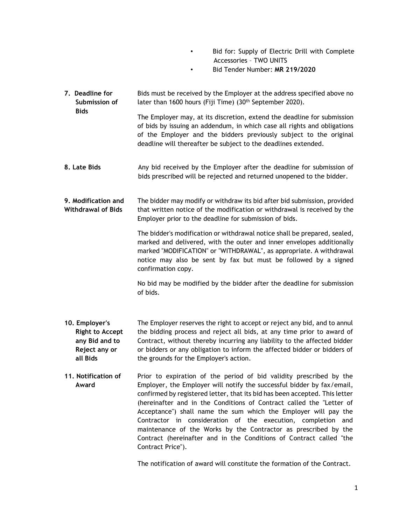- Bid for: Supply of Electric Drill with Complete Accessories – TWO UNITS
- Bid Tender Number: **MR 219/2020**
- **7. Deadline for Submission of Bids** Bids must be received by the Employer at the address specified above no later than 1600 hours (Fiji Time) (30<sup>th</sup> September 2020).

The Employer may, at its discretion, extend the deadline for submission of bids by issuing an addendum, in which case all rights and obligations of the Employer and the bidders previously subject to the original deadline will thereafter be subject to the deadlines extended.

**8. Late Bids** Any bid received by the Employer after the deadline for submission of bids prescribed will be rejected and returned unopened to the bidder.

**9. Modification and Withdrawal of Bids** The bidder may modify or withdraw its bid after bid submission, provided that written notice of the modification or withdrawal is received by the Employer prior to the deadline for submission of bids.

> The bidder's modification or withdrawal notice shall be prepared, sealed, marked and delivered, with the outer and inner envelopes additionally marked "MODIFICATION" or "WITHDRAWAL", as appropriate. A withdrawal notice may also be sent by fax but must be followed by a signed confirmation copy.

> No bid may be modified by the bidder after the deadline for submission of bids.

- **10. Employer's Right to Accept any Bid and to Reject any or all Bids** The Employer reserves the right to accept or reject any bid, and to annul the bidding process and reject all bids, at any time prior to award of Contract, without thereby incurring any liability to the affected bidder or bidders or any obligation to inform the affected bidder or bidders of the grounds for the Employer's action.
- **11. Notification of Award** Prior to expiration of the period of bid validity prescribed by the Employer, the Employer will notify the successful bidder by fax/email, confirmed by registered letter, that its bid has been accepted. This letter (hereinafter and in the Conditions of Contract called the "Letter of Acceptance") shall name the sum which the Employer will pay the Contractor in consideration of the execution, completion and maintenance of the Works by the Contractor as prescribed by the Contract (hereinafter and in the Conditions of Contract called "the Contract Price").

The notification of award will constitute the formation of the Contract.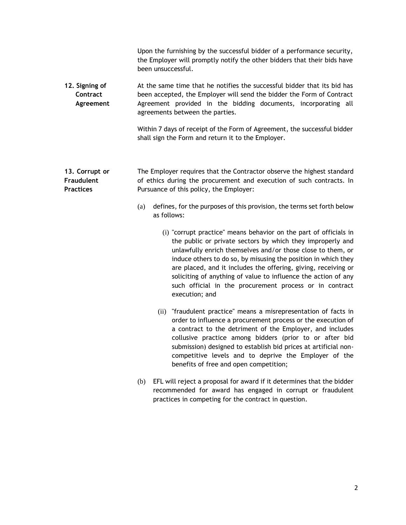|                                                         | Upon the furnishing by the successful bidder of a performance security,<br>the Employer will promptly notify the other bidders that their bids have<br>been unsuccessful.                                                                                                                                                                                                                                                                                                         |
|---------------------------------------------------------|-----------------------------------------------------------------------------------------------------------------------------------------------------------------------------------------------------------------------------------------------------------------------------------------------------------------------------------------------------------------------------------------------------------------------------------------------------------------------------------|
| 12. Signing of<br>Contract<br>Agreement                 | At the same time that he notifies the successful bidder that its bid has<br>been accepted, the Employer will send the bidder the Form of Contract<br>Agreement provided in the bidding documents, incorporating all<br>agreements between the parties.                                                                                                                                                                                                                            |
|                                                         | Within 7 days of receipt of the Form of Agreement, the successful bidder<br>shall sign the Form and return it to the Employer.                                                                                                                                                                                                                                                                                                                                                    |
| 13. Corrupt or<br><b>Fraudulent</b><br><b>Practices</b> | The Employer requires that the Contractor observe the highest standard<br>of ethics during the procurement and execution of such contracts. In<br>Pursuance of this policy, the Employer:                                                                                                                                                                                                                                                                                         |
|                                                         | defines, for the purposes of this provision, the terms set forth below<br>(a)<br>as follows:                                                                                                                                                                                                                                                                                                                                                                                      |
|                                                         | (i) "corrupt practice" means behavior on the part of officials in<br>the public or private sectors by which they improperly and<br>unlawfully enrich themselves and/or those close to them, or<br>induce others to do so, by misusing the position in which they<br>are placed, and it includes the offering, giving, receiving or<br>soliciting of anything of value to influence the action of any<br>such official in the procurement process or in contract<br>execution; and |
|                                                         | "fraudulent practice" means a misrepresentation of facts in<br>(ii)<br>order to influence a procurement process or the execution of<br>a contract to the detriment of the Employer, and includes<br>collusive practice among bidders (prior to or after bid<br>submission) designed to establish bid prices at artificial non-<br>competitive levels and to deprive the Employer of the<br>benefits of free and open competition;                                                 |
|                                                         | EFL will reject a proposal for award if it determines that the bidder<br>(b)<br>recommended for award has engaged in corrupt or fraudulent                                                                                                                                                                                                                                                                                                                                        |

practices in competing for the contract in question.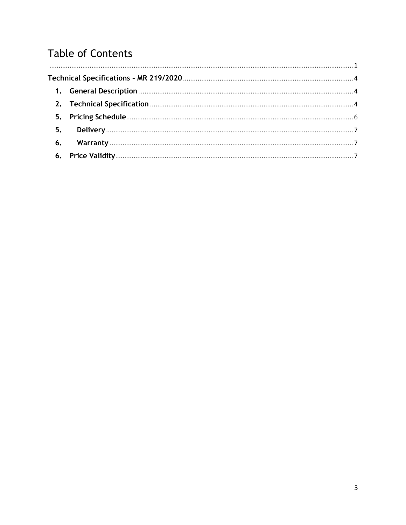# **Table of Contents**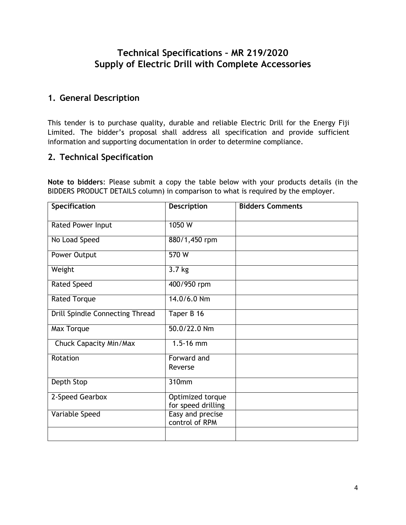### **Technical Specifications – MR 219/2020 Supply of Electric Drill with Complete Accessories**

#### <span id="page-5-1"></span><span id="page-5-0"></span>**1. General Description**

This tender is to purchase quality, durable and reliable Electric Drill for the Energy Fiji Limited. The bidder's proposal shall address all specification and provide sufficient information and supporting documentation in order to determine compliance.

#### <span id="page-5-2"></span>**2. Technical Specification**

**Note to bidders**: Please submit a copy the table below with your products details (in the BIDDERS PRODUCT DETAILS column) in comparison to what is required by the employer.

| Specification                   | <b>Description</b>                     | <b>Bidders Comments</b> |
|---------------------------------|----------------------------------------|-------------------------|
| Rated Power Input               | 1050 $\overline{W}$                    |                         |
| No Load Speed                   | 880/1,450 rpm                          |                         |
| Power Output                    | 570 W                                  |                         |
| Weight                          | $3.7$ kg                               |                         |
| <b>Rated Speed</b>              | 400/950 rpm                            |                         |
| <b>Rated Torque</b>             | 14.0/6.0 Nm                            |                         |
| Drill Spindle Connecting Thread | Taper B 16                             |                         |
| Max Torque                      | 50.0/22.0 Nm                           |                         |
| Chuck Capacity Min/Max          | $1.5 - 16$ mm                          |                         |
| Rotation                        | Forward and                            |                         |
|                                 | Reverse                                |                         |
| Depth Stop                      | 310mm                                  |                         |
| 2-Speed Gearbox                 | Optimized torque<br>for speed drilling |                         |
| Variable Speed                  | Easy and precise<br>control of RPM     |                         |
|                                 |                                        |                         |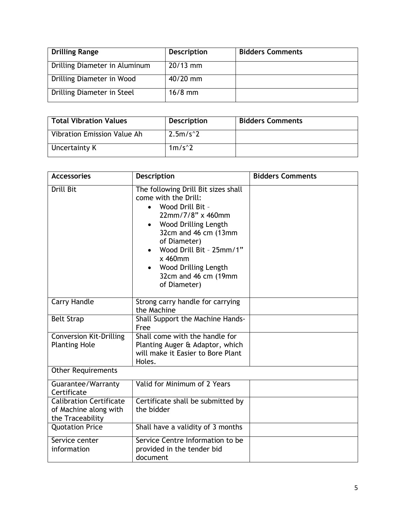| <b>Drilling Range</b>         | <b>Description</b> | <b>Bidders Comments</b> |
|-------------------------------|--------------------|-------------------------|
| Drilling Diameter in Aluminum | $20/13$ mm         |                         |
| Drilling Diameter in Wood     | $40/20$ mm         |                         |
| Drilling Diameter in Steel    | $16/8$ mm          |                         |

| <b>Total Vibration Values</b> | <b>Description</b>  | <b>Bidders Comments</b> |
|-------------------------------|---------------------|-------------------------|
| Vibration Emission Value Ah   | 2.5m/s <sup>2</sup> |                         |
| Uncertainty K                 | $1m/s^2$            |                         |

| <b>Accessories</b>                                                          | <b>Description</b>                                                                                                                                                                                                                                                                                | <b>Bidders Comments</b> |
|-----------------------------------------------------------------------------|---------------------------------------------------------------------------------------------------------------------------------------------------------------------------------------------------------------------------------------------------------------------------------------------------|-------------------------|
| <b>Drill Bit</b>                                                            | The following Drill Bit sizes shall<br>come with the Drill:<br>Wood Drill Bit -<br>22mm/7/8" x 460mm<br>Wood Drilling Length<br>$\bullet$<br>32cm and 46 cm (13mm<br>of Diameter)<br>Wood Drill Bit - 25mm/1"<br>$x$ 460mm<br><b>Wood Drilling Length</b><br>32cm and 46 cm (19mm<br>of Diameter) |                         |
| <b>Carry Handle</b>                                                         | Strong carry handle for carrying<br>the Machine                                                                                                                                                                                                                                                   |                         |
| <b>Belt Strap</b>                                                           | Shall Support the Machine Hands-<br>Free                                                                                                                                                                                                                                                          |                         |
| <b>Conversion Kit-Drilling</b><br><b>Planting Hole</b>                      | Shall come with the handle for<br>Planting Auger & Adaptor, which<br>will make it Easier to Bore Plant<br>Holes.                                                                                                                                                                                  |                         |
| <b>Other Requirements</b>                                                   |                                                                                                                                                                                                                                                                                                   |                         |
| Guarantee/Warranty<br>Certificate                                           | Valid for Minimum of 2 Years                                                                                                                                                                                                                                                                      |                         |
| <b>Calibration Certificate</b><br>of Machine along with<br>the Traceability | Certificate shall be submitted by<br>the bidder                                                                                                                                                                                                                                                   |                         |
| <b>Quotation Price</b>                                                      | Shall have a validity of 3 months                                                                                                                                                                                                                                                                 |                         |
| Service center<br>information                                               | Service Centre Information to be<br>provided in the tender bid<br>document                                                                                                                                                                                                                        |                         |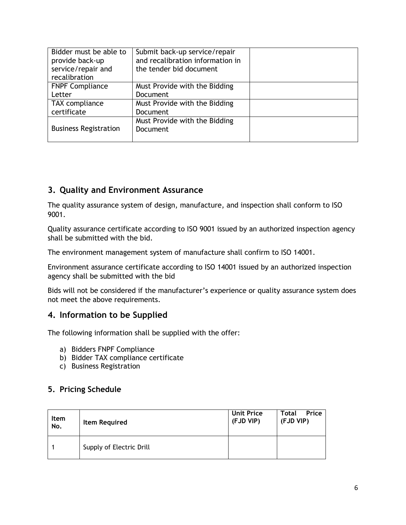| Bidder must be able to<br>provide back-up<br>service/repair and<br>recalibration | Submit back-up service/repair<br>and recalibration information in<br>the tender bid document |  |
|----------------------------------------------------------------------------------|----------------------------------------------------------------------------------------------|--|
| <b>FNPF Compliance</b>                                                           | Must Provide with the Bidding                                                                |  |
| Letter                                                                           | Document                                                                                     |  |
| TAX compliance                                                                   | Must Provide with the Bidding                                                                |  |
| certificate                                                                      | Document                                                                                     |  |
| <b>Business Registration</b>                                                     | Must Provide with the Bidding<br>Document                                                    |  |

#### **3. Quality and Environment Assurance**

The quality assurance system of design, manufacture, and inspection shall conform to ISO 9001.

Quality assurance certificate according to ISO 9001 issued by an authorized inspection agency shall be submitted with the bid.

The environment management system of manufacture shall confirm to ISO 14001.

Environment assurance certificate according to ISO 14001 issued by an authorized inspection agency shall be submitted with the bid

Bids will not be considered if the manufacturer's experience or quality assurance system does not meet the above requirements.

#### **4. Information to be Supplied**

The following information shall be supplied with the offer:

- a) Bidders FNPF Compliance
- b) Bidder TAX compliance certificate
- c) Business Registration

#### <span id="page-7-0"></span>**5. Pricing Schedule**

| <b>Item</b><br>No. | Item Required            | <b>Unit Price</b><br>(FJD VIP) | Price<br>Total<br>(FJD VIP) |
|--------------------|--------------------------|--------------------------------|-----------------------------|
|                    | Supply of Electric Drill |                                |                             |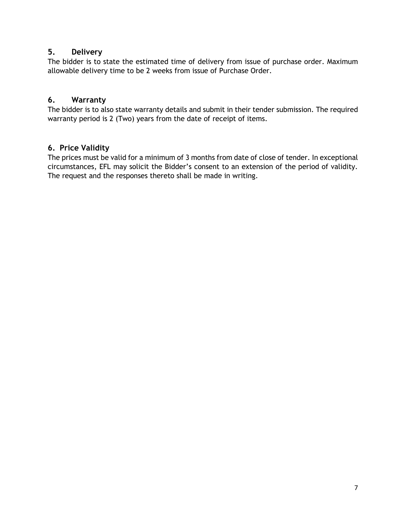#### <span id="page-8-0"></span>**5. Delivery**

The bidder is to state the estimated time of delivery from issue of purchase order. Maximum allowable delivery time to be 2 weeks from issue of Purchase Order.

#### <span id="page-8-1"></span>**6. Warranty**

The bidder is to also state warranty details and submit in their tender submission. The required warranty period is 2 (Two) years from the date of receipt of items.

#### <span id="page-8-2"></span>**6. Price Validity**

The prices must be valid for a minimum of 3 months from date of close of tender. In exceptional circumstances, EFL may solicit the Bidder's consent to an extension of the period of validity. The request and the responses thereto shall be made in writing.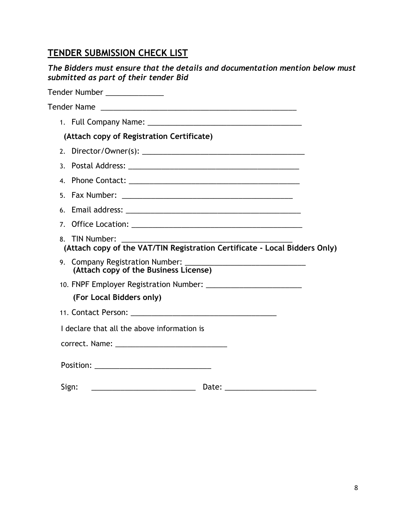### **TENDER SUBMISSION CHECK LIST**

| The Bidders must ensure that the details and documentation mention below must<br>submitted as part of their tender Bid |
|------------------------------------------------------------------------------------------------------------------------|
| Tender Number ______________                                                                                           |
| Tender Name                                                                                                            |
|                                                                                                                        |
| (Attach copy of Registration Certificate)                                                                              |
| 2.                                                                                                                     |
|                                                                                                                        |
|                                                                                                                        |
|                                                                                                                        |
| 6.                                                                                                                     |
| 7 <sup>1</sup>                                                                                                         |
| 8. TIN Number:<br>(Attach copy of the VAT/TIN Registration Certificate - Local Bidders Only)                           |
| (Attach copy of the Business License)                                                                                  |
|                                                                                                                        |
| (For Local Bidders only)                                                                                               |
|                                                                                                                        |
| I declare that all the above information is                                                                            |
|                                                                                                                        |
| Position: _________________________________                                                                            |
| Sign:<br>Date:                                                                                                         |